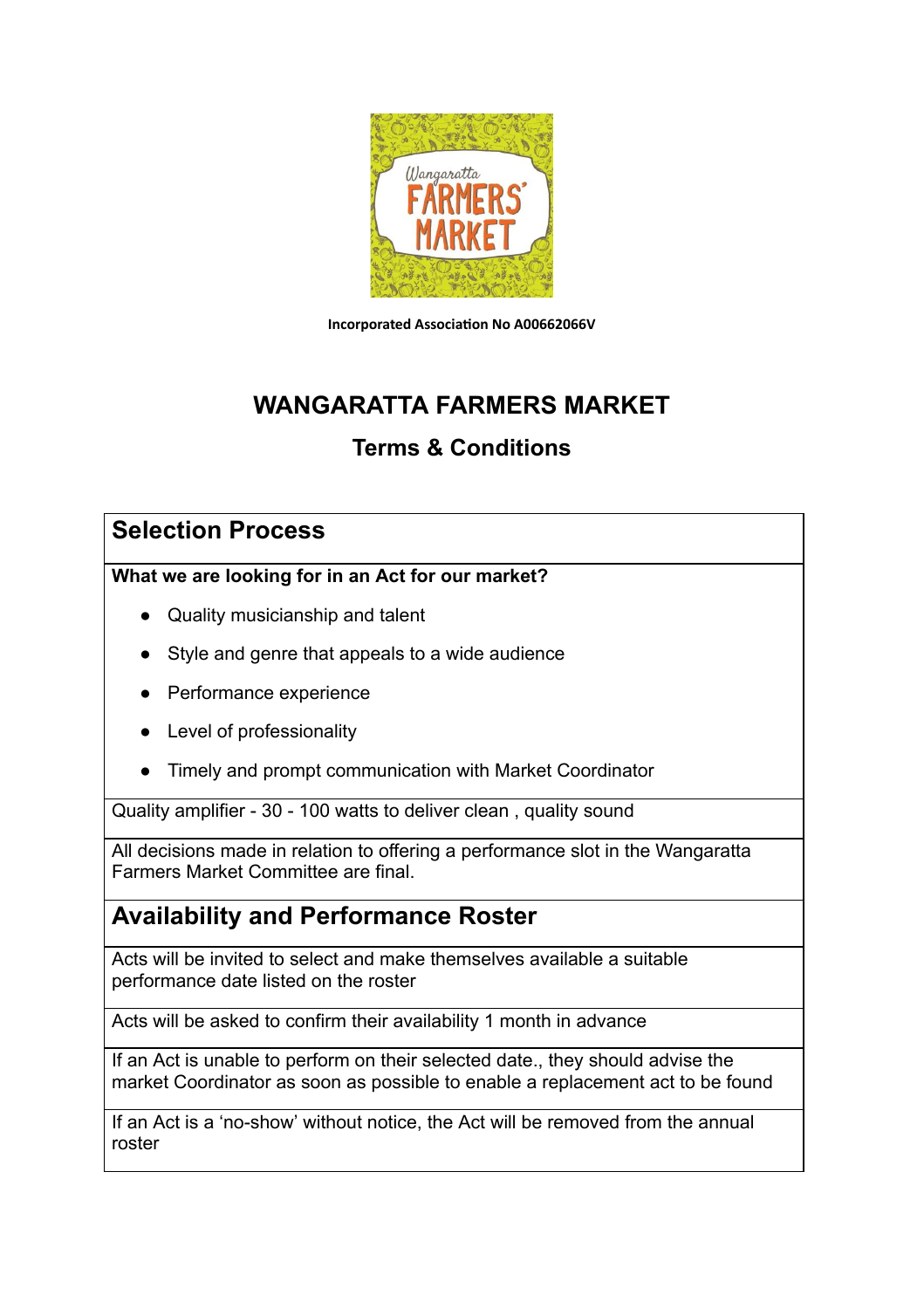

**Incorporated Association No A00662066V** 

# **WANGARATTA FARMERS MARKET**

### **Terms & Conditions**

### **Selection Process**

**What we are looking for in an Act for our market?**

- Quality musicianship and talent
- Style and genre that appeals to a wide audience
- Performance experience
- Level of professionality
- Timely and prompt communication with Market Coordinator

Quality amplifier - 30 - 100 watts to deliver clean , quality sound

All decisions made in relation to offering a performance slot in the Wangaratta Farmers Market Committee are final.

### **Availability and Performance Roster**

Acts will be invited to select and make themselves available a suitable performance date listed on the roster

Acts will be asked to confirm their availability 1 month in advance

If an Act is unable to perform on their selected date., they should advise the market Coordinator as soon as possible to enable a replacement act to be found

If an Act is a 'no-show' without notice, the Act will be removed from the annual roster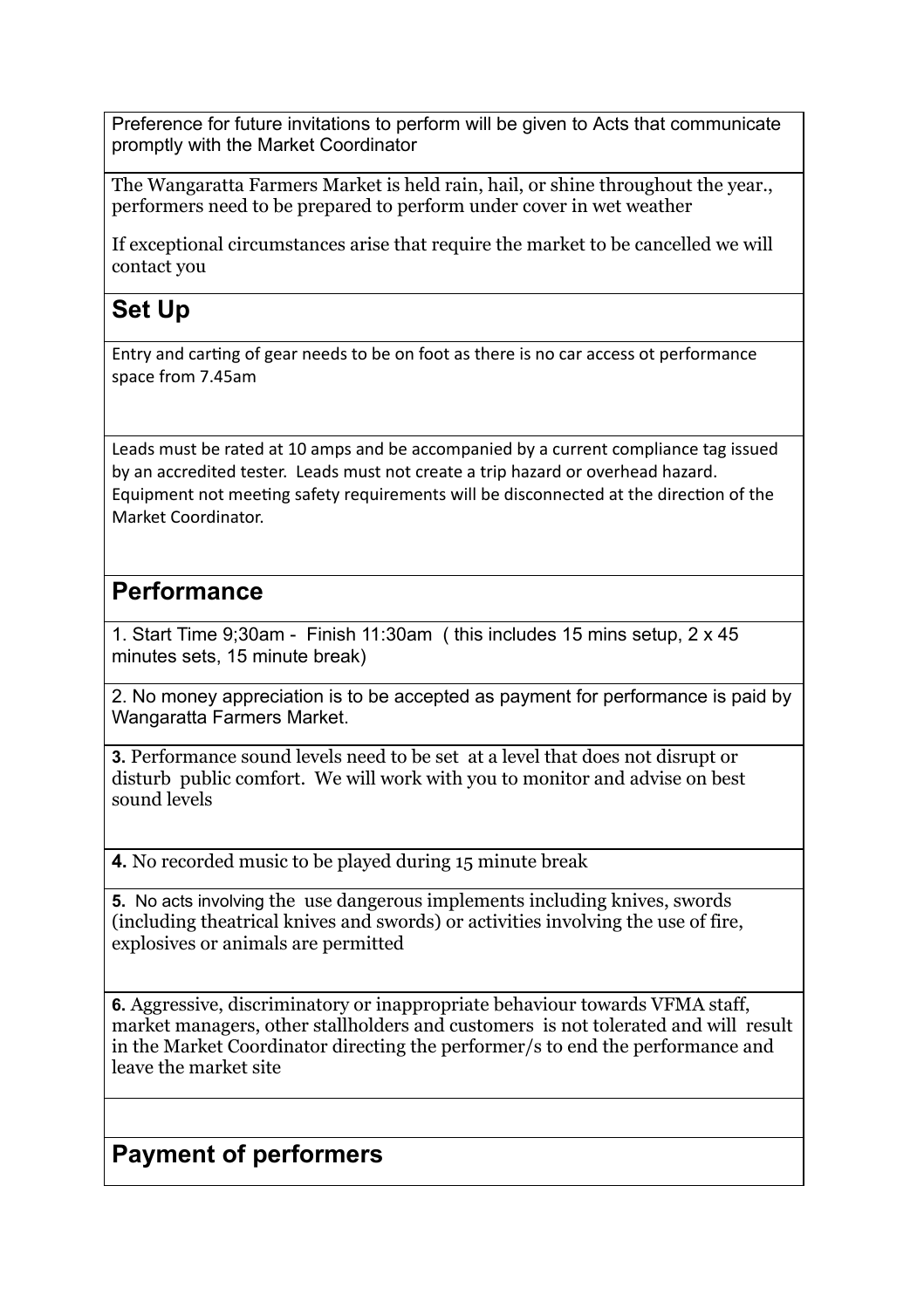Preference for future invitations to perform will be given to Acts that communicate promptly with the Market Coordinator

The Wangaratta Farmers Market is held rain, hail, or shine throughout the year., performers need to be prepared to perform under cover in wet weather

If exceptional circumstances arise that require the market to be cancelled we will contact you

## **Set Up**

Entry and carting of gear needs to be on foot as there is no car access ot performance space from 7.45am

Leads must be rated at 10 amps and be accompanied by a current compliance tag issued by an accredited tester. Leads must not create a trip hazard or overhead hazard. Equipment not meeting safety requirements will be disconnected at the direction of the Market Coordinator.

### **Performance**

1. Start Time 9;30am - Finish 11:30am ( this includes 15 mins setup, 2 x 45 minutes sets, 15 minute break)

2. No money appreciation is to be accepted as payment for performance is paid by Wangaratta Farmers Market.

**3.** Performance sound levels need to be set at a level that does not disrupt or disturb public comfort. We will work with you to monitor and advise on best sound levels

**4.** No recorded music to be played during 15 minute break

**5.** No acts involving the use dangerous implements including knives, swords (including theatrical knives and swords) or activities involving the use of fire, explosives or animals are permitted

**6.** Aggressive, discriminatory or inappropriate behaviour towards VFMA staff, market managers, other stallholders and customers is not tolerated and will result in the Market Coordinator directing the performer/s to end the performance and leave the market site

### **Payment of performers**